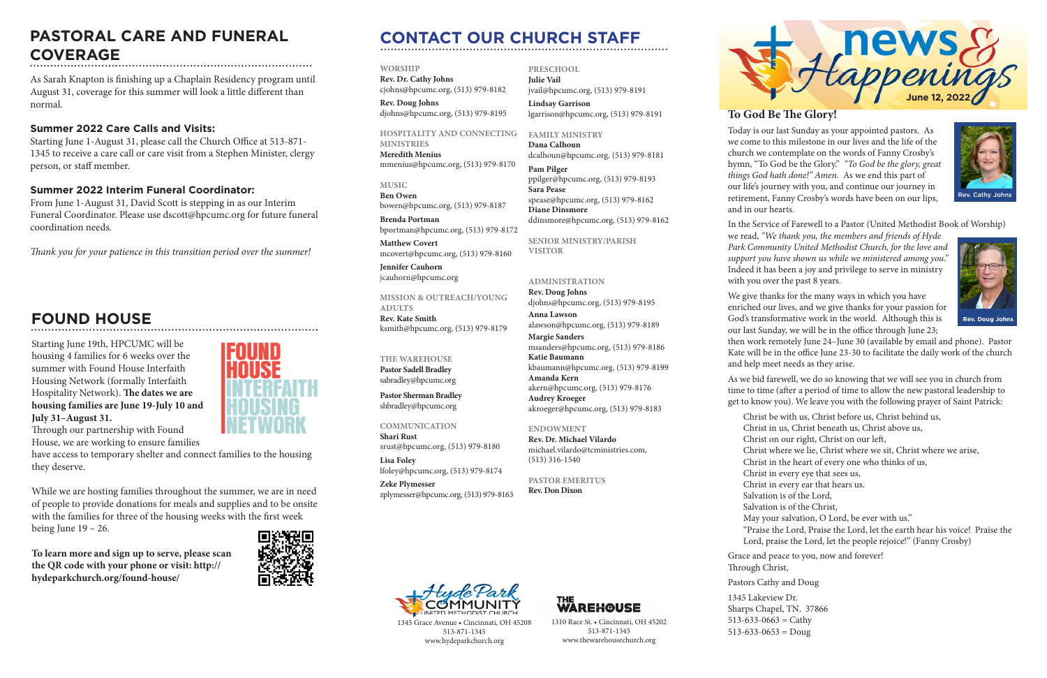# **CONTACT OUR CHURCH STAFF**

**WORSHIP**

**Rev. Dr. Cathy Johns**  cjohns@hpcumc.org, (513) 979-8182 **Rev. Doug Johns**

djohns@hpcumc.org, (513) 979-8195

# **HOSPITALITY AND CONNECTING**

**MINISTRIES Meredith Menius** mmenius@hpcumc.org, (513) 979-8170

**MUSIC Ben Owen** bowen@hpcumc.org, (513) 979-8187

**Brenda Portman** bportman@hpcumc.org, (513) 979-8172

**Matthew Covert**  mcovert@hpcumc.org, (513) 979-8160

**Jennifer Cauhorn** jcauhorn@hpcumc.org

**MISSION & OUTREACH/YOUNG ADULTS Rev. Kate Smith**

ksmith@hpcumc.org, (513) 979-8179

# **THE WAREHOUSE**

**Pastor Sadell Bradley** sabradley@hpcumc.org

**Pastor Sherman Bradley** shbradley@hpcumc.org

## **COMMUNICATION**

**Shari Rust**  srust@hpcumc.org, (513) 979-8180 **Lisa Foley**  lfoley@hpcumc.org, (513) 979-8174

**Zeke Plymesser** zplymesser@hpcumc.org, (513) 979-8163



## **PRESCHOOL Julie Vail** jvail@hpcumc.org, (513) 979-8191

**Lindsay Garrison** lgarrison@hpcumc.org, (513) 979-8191

## **FAMILY MINISTRY**

**Dana Calhoun** dcalhoun@hpcumc.org, (513) 979-8181

**Pam Pilger** ppilger@hpcumc.org, (513) 979-8193 **Sara Pease** spease@hpcumc.org, (513) 979-8162 **Diane Dinsmore** ddinsmore@hpcumc.org, (513) 979-8162

**SENIOR MINISTRY/PARISH VISITOR**

## **ADMINISTRATION**

**Rev. Doug Johns** djohns@hpcumc.org, (513) 979-8195 **Anna Lawson** alawson@hpcumc.org, (513) 979-8189 **Margie Sanders** msanders@hpcumc.org, (513) 979-8186 **Katie Baumann** kbaumann@hpcumc.org, (513) 979-8199 **Amanda Kern** akern@hpcumc.org, (513) 979-8176 **Audrey Kroeger** akroeger@hpcumc.org, (513) 979-8183

### **ENDOWMENT**

**Rev. Dr. Michael Vilardo** michael.vilardo@tcministries.com, (513) 316-1540

**PASTOR EMERITUS Rev. Don Dixon**



1345 Grace Avenue • Cincinnati, OH 45208 513-871-1345 www.hydeparkchurch.org

1310 Race St. • Cincinnati, OH 45202 513-871-1345 www.thewarehousechurch.org

**WAREH@USE** 

# **To God Be The Glory!**

1345 Lakeview Dr.  $513-633-0663 =$  Cathy  $513-633-0653 =$ Doug



Today is our last Sunday as your appointed pastors. As we come to this milestone in our lives and the life of the church we contemplate on the words of Fanny Crosby's hymn, "To God be the Glory." *"To God be the glory, great things God hath done!" Amen.* As we end this part of our life's journey with you, and continue our journey in retirement, Fanny Crosby's words have been on our lips, and in our hearts.

In the Service of Farewell to a Pastor (United Methodist Book of Worship)

we read, *"We thank you, the members and friends of Hyde Park Community United Methodist Church, for the love and support you have shown us while we ministered among you."*  Indeed it has been a joy and privilege to serve in ministry with you over the past 8 years.

While we are hosting families throughout the summer, we are in need of people to provide donations for meals and supplies and to be onsite with the families for three of the housing weeks with the first week being June  $19 - 26$ .

We give thanks for the many ways in which you have enriched our lives, and we give thanks for your passion for God's transformative work in the world. Although this is our last Sunday, we will be in the office through June 23;

then work remotely June 24–June 30 (available by email and phone). Pastor Kate will be in the office June 23-30 to facilitate the daily work of the church and help meet needs as they arise.

As we bid farewell, we do so knowing that we will see you in church from time to time (after a period of time to allow the new pastoral leadership to get to know you). We leave you with the following prayer of Saint Patrick:

- Christ be with us, Christ before us, Christ behind us,
- Christ in us, Christ beneath us, Christ above us,
- Christ on our right, Christ on our left,
- Christ where we lie, Christ where we sit, Christ where we arise,
- Christ in the heart of every one who thinks of us,
- Christ in every eye that sees us,
- Christ in every ear that hears us.
- Salvation is of the Lord,
- Salvation is of the Christ,
- May your salvation, O Lord, be ever with us."
- "Praise the Lord, Praise the Lord, let the earth hear his voice! Praise the Lord, praise the Lord, let the people rejoice!" (Fanny Crosby)
- Grace and peace to you, now and forever!
- Pastors Cathy and Doug
	-
- Sharps Chapel, TN. 37866
	-
	-

Through Christ,



# **FOUND HOUSE**

# **PASTORAL CARE AND FUNERAL COVERAGE**

As Sarah Knapton is finishing up a Chaplain Residency program until August 31, coverage for this summer will look a little different than normal.

# **Summer 2022 Care Calls and Visits:**

Starting June 1-August 31, please call the Church Office at 513-871- 1345 to receive a care call or care visit from a Stephen Minister, clergy person, or staff member.

# **Summer 2022 Interim Funeral Coordinator:**

From June 1-August 31, David Scott is stepping in as our Interim Funeral Coordinator. Please use dscott@hpcumc.org for future funeral coordination needs.

*Thank you for your patience in this transition period over the summer!*

Starting June 19th, HPCUMC will be housing 4 families for 6 weeks over the summer with Found House Interfaith Housing Network (formally Interfaith Hospitality Network). **The dates we are housing families are June 19-July 10 and July 31–August 31.**



Through our partnership with Found House, we are working to ensure families

have access to temporary shelter and connect families to the housing they deserve.

**To learn more and sign up to serve, please scan the QR code with your phone or visit: http:// hydeparkchurch.org/found-house/**